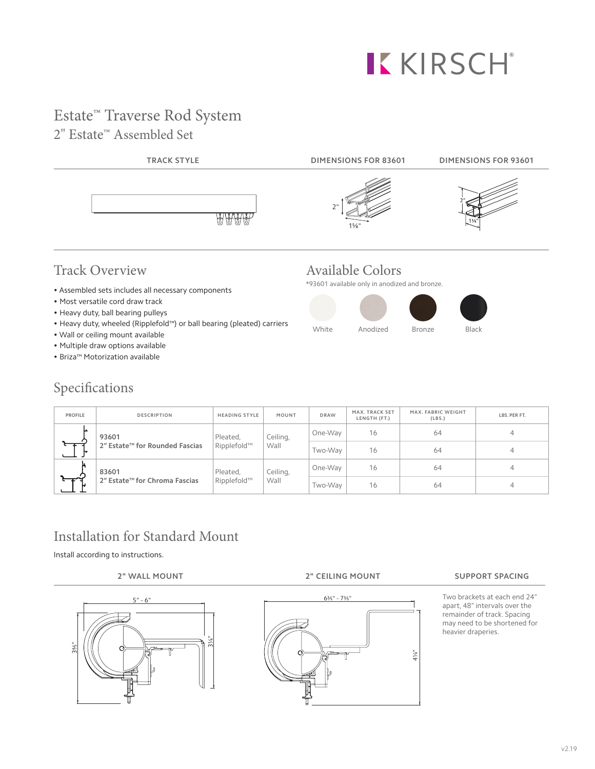# KKIRSCH®

### Estate™ Traverse Rod System 2" Estate™ Assembled Set



### Track Overview

- Assembled sets includes all necessary components
- Most versatile cord draw track
- Heavy duty, ball bearing pulleys
- Heavy duty, wheeled (Ripplefold™) or ball bearing (pleated) carriers
- Wall or ceiling mount available
- Multiple draw options available
- Briza™ Motorization available

### Specifications

## Available Colors

\*93601 available only in anodized and bronze.



| <b>PROFILE</b> | <b>DESCRIPTION</b>                                  | <b>HEADING STYLE</b>                        | <b>MOUNT</b>     | <b>DRAW</b> | MAX. TRACK SET<br>LENGTH (FT.) | MAX. FABRIC WEIGHT<br>(LBS.) | LBS. PER FT. |
|----------------|-----------------------------------------------------|---------------------------------------------|------------------|-------------|--------------------------------|------------------------------|--------------|
| ⊾              | 93601<br>2" Estate <sup>™</sup> for Rounded Fascias | Pleated,<br>Ripplefold™                     | Ceiling,<br>Wall | One-Way     | 16                             | 64                           |              |
|                |                                                     |                                             |                  | Two-Wav     | 16                             | 64                           |              |
|                | 83601                                               | Ceiling,<br>Pleated,<br>Ripplefold™<br>Wall |                  | One-Way     | 16                             | 64                           |              |
|                | 2" Estate <sup>™</sup> for Chroma Fascias           |                                             |                  | Two-Way     | 16                             | 64                           |              |

# Installation for Standard Mount

Install according to instructions.





Two brackets at each end 24" apart, 48" intervals over the remainder of track. Spacing may need to be shortened for heavier draperies.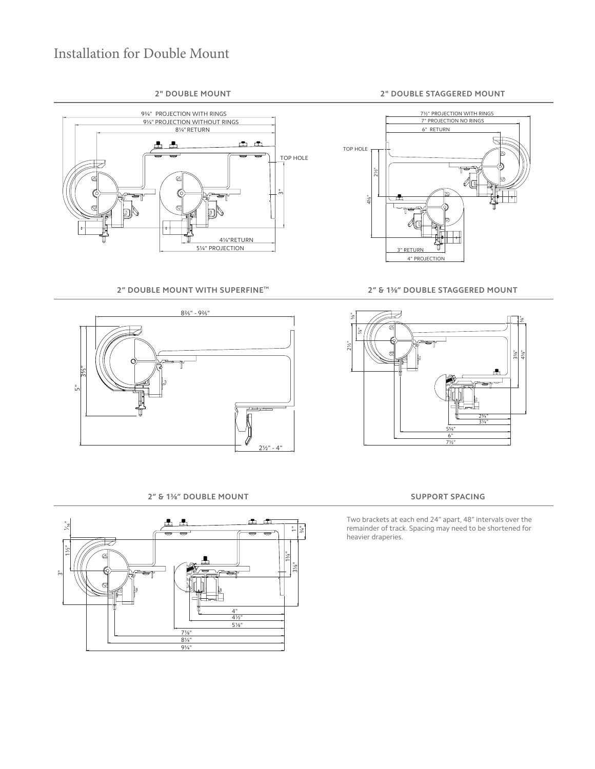### Installation for Double Mount



**2" DOUBLE MOUNT WITH SUPERFINE™ 2" & 1⅜" DOUBLE STAGGERED MOUNT**



### **2" & 1⅜" DOUBLE MOUNT SUPPORT SPACING**







Two brackets at each end 24" apart, 48" intervals over the remainder of track. Spacing may need to be shortened for heavier draperies.